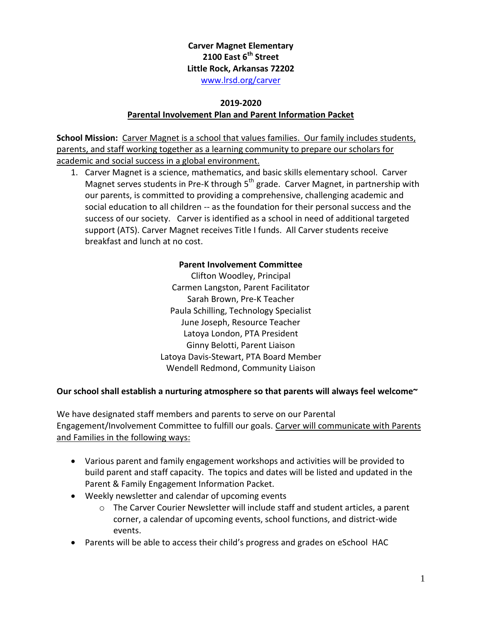## **Carver Magnet Elementary 2100 East 6th Street Little Rock, Arkansas 72202** [www.lrsd.org/carver](http://www.lrsd.org/carver)

#### **2019-2020**

### **Parental Involvement Plan and Parent Information Packet**

**School Mission:** Carver Magnet is a school that values families. Our family includes students, parents, and staff working together as a learning community to prepare our scholars for academic and social success in a global environment.

1. Carver Magnet is a science, mathematics, and basic skills elementary school. Carver Magnet serves students in Pre-K through 5<sup>th</sup> grade. Carver Magnet, in partnership with our parents, is committed to providing a comprehensive, challenging academic and social education to all children -- as the foundation for their personal success and the success of our society. Carver is identified as a school in need of additional targeted support (ATS). Carver Magnet receives Title I funds. All Carver students receive breakfast and lunch at no cost.

### **Parent Involvement Committee**

Clifton Woodley, Principal Carmen Langston, Parent Facilitator Sarah Brown, Pre-K Teacher Paula Schilling, Technology Specialist June Joseph, Resource Teacher Latoya London, PTA President Ginny Belotti, Parent Liaison Latoya Davis-Stewart, PTA Board Member Wendell Redmond, Community Liaison

### **Our school shall establish a nurturing atmosphere so that parents will always feel welcome~**

We have designated staff members and parents to serve on our Parental Engagement/Involvement Committee to fulfill our goals. Carver will communicate with Parents and Families in the following ways:

- Various parent and family engagement workshops and activities will be provided to build parent and staff capacity. The topics and dates will be listed and updated in the Parent & Family Engagement Information Packet.
- Weekly newsletter and calendar of upcoming events
	- $\circ$  The Carver Courier Newsletter will include staff and student articles, a parent corner, a calendar of upcoming events, school functions, and district-wide events.
- Parents will be able to access their child's progress and grades on eSchool HAC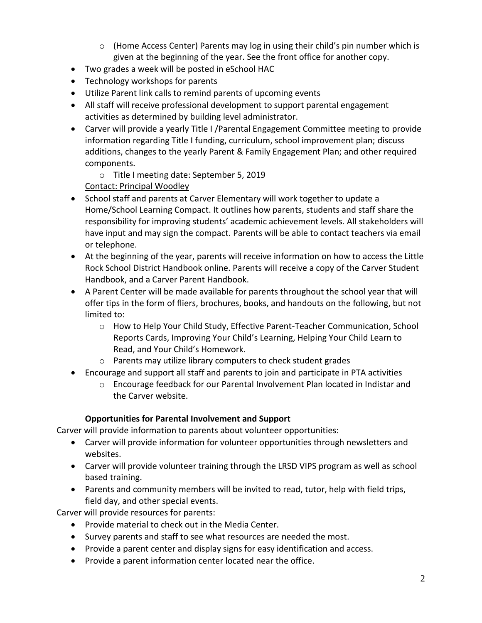- $\circ$  (Home Access Center) Parents may log in using their child's pin number which is given at the beginning of the year. See the front office for another copy.
- Two grades a week will be posted in eSchool HAC
- Technology workshops for parents
- Utilize Parent link calls to remind parents of upcoming events
- All staff will receive professional development to support parental engagement activities as determined by building level administrator.
- Carver will provide a yearly Title I /Parental Engagement Committee meeting to provide information regarding Title I funding, curriculum, school improvement plan; discuss additions, changes to the yearly Parent & Family Engagement Plan; and other required components.
	- o Title I meeting date: September 5, 2019

Contact: Principal Woodley

- School staff and parents at Carver Elementary will work together to update a Home/School Learning Compact. It outlines how parents, students and staff share the responsibility for improving students' academic achievement levels. All stakeholders will have input and may sign the compact. Parents will be able to contact teachers via email or telephone.
- At the beginning of the year, parents will receive information on how to access the Little Rock School District Handbook online. Parents will receive a copy of the Carver Student Handbook, and a Carver Parent Handbook.
- A Parent Center will be made available for parents throughout the school year that will offer tips in the form of fliers, brochures, books, and handouts on the following, but not limited to:
	- o How to Help Your Child Study, Effective Parent-Teacher Communication, School Reports Cards, Improving Your Child's Learning, Helping Your Child Learn to Read, and Your Child's Homework.
	- o Parents may utilize library computers to check student grades
- Encourage and support all staff and parents to join and participate in PTA activities
	- o Encourage feedback for our Parental Involvement Plan located in Indistar and the Carver website.

# **Opportunities for Parental Involvement and Support**

Carver will provide information to parents about volunteer opportunities:

- Carver will provide information for volunteer opportunities through newsletters and websites.
- Carver will provide volunteer training through the LRSD VIPS program as well as school based training.
- Parents and community members will be invited to read, tutor, help with field trips, field day, and other special events.

Carver will provide resources for parents:

- Provide material to check out in the Media Center.
- Survey parents and staff to see what resources are needed the most.
- Provide a parent center and display signs for easy identification and access.
- Provide a parent information center located near the office.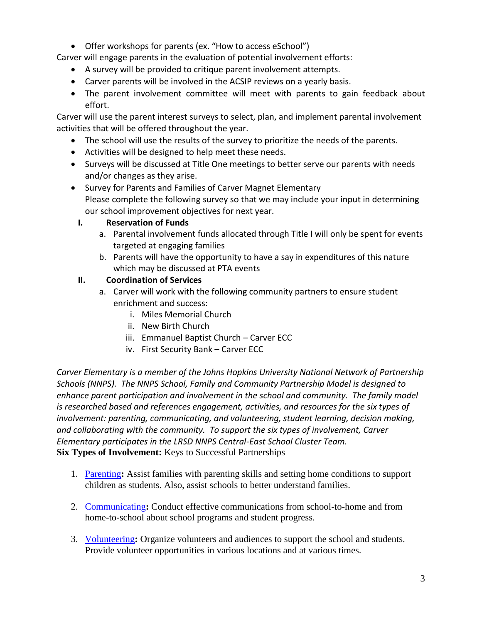Offer workshops for parents (ex. "How to access eSchool")

Carver will engage parents in the evaluation of potential involvement efforts:

- A survey will be provided to critique parent involvement attempts.
- Carver parents will be involved in the ACSIP reviews on a yearly basis.
- The parent involvement committee will meet with parents to gain feedback about effort.

Carver will use the parent interest surveys to select, plan, and implement parental involvement activities that will be offered throughout the year.

- The school will use the results of the survey to prioritize the needs of the parents.
- Activities will be designed to help meet these needs.
- Surveys will be discussed at Title One meetings to better serve our parents with needs and/or changes as they arise.
- Survey for Parents and Families of Carver Magnet Elementary Please complete the following survey so that we may include your input in determining our school improvement objectives for next year.

## **I. Reservation of Funds**

- a. Parental involvement funds allocated through Title I will only be spent for events targeted at engaging families
- b. Parents will have the opportunity to have a say in expenditures of this nature which may be discussed at PTA events

## **II. Coordination of Services**

- a. Carver will work with the following community partners to ensure student enrichment and success:
	- i. Miles Memorial Church
	- ii. New Birth Church
	- iii. Emmanuel Baptist Church Carver ECC
	- iv. First Security Bank Carver ECC

*Carver Elementary is a member of the Johns Hopkins University National Network of Partnership Schools (NNPS). The NNPS School, Family and Community Partnership Model is designed to enhance parent participation and involvement in the school and community. The family model is researched based and references engagement, activities, and resources for the six types of involvement: parenting, communicating, and volunteering, student learning, decision making, and collaborating with the community. To support the six types of involvement, Carver Elementary participates in the LRSD NNPS Central-East School Cluster Team.* **Six Types of Involvement:** Keys to Successful Partnerships

- 1. [Parenting](http://www.csos.jhu.edu/P2000/nnps_model/school/sixtypes/type1.htm)**:** Assist families with parenting skills and setting home conditions to support children as students. Also, assist schools to better understand families.
- 2. [Communicating](http://www.csos.jhu.edu/P2000/nnps_model/school/sixtypes/type2.htm)**:** Conduct effective communications from school-to-home and from home-to-school about school programs and student progress.
- 3. [Volunteering](http://www.csos.jhu.edu/P2000/nnps_model/school/sixtypes/type3.htm)**:** Organize volunteers and audiences to support the school and students. Provide volunteer opportunities in various locations and at various times.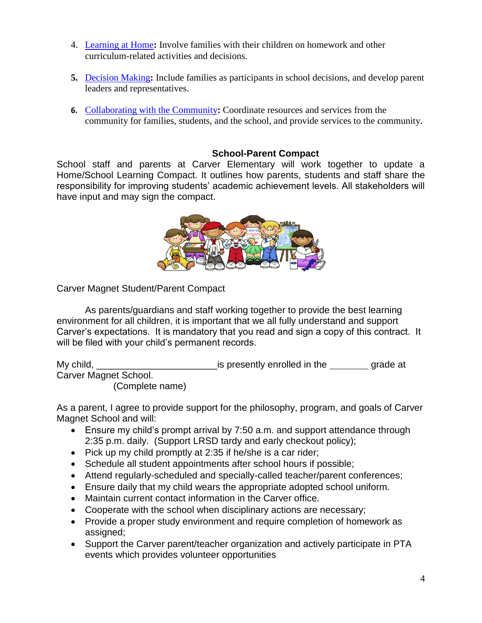- 4. [Learning at Home](http://www.csos.jhu.edu/P2000/nnps_model/school/sixtypes/type4.htm)**:** Involve families with their children on homework and other curriculum-related activities and decisions.
- **5.** [Decision Making](http://www.csos.jhu.edu/P2000/nnps_model/school/sixtypes/type5.htm)**:** Include families as participants in school decisions, and develop parent leaders and representatives.
- **6.** [Collaborating with the Community](http://www.csos.jhu.edu/P2000/nnps_model/school/sixtypes/type6.htm)**:** Coordinate resources and services from the community for families, students, and the school, and provide services to the community.

## **School-Parent Compact**

School staff and parents at Carver Elementary will work together to update a Home/School Learning Compact. It outlines how parents, students and staff share the responsibility for improving students' academic achievement levels. All stakeholders will have input and may sign the compact.



Carver Magnet Student/Parent Compact

As parents/guardians and staff working together to provide the best learning environment for all children, it is important that we all fully understand and support Carver's expectations. It is mandatory that you read and sign a copy of this contract. It will be filed with your child's permanent records.

My child, the grade at the grade at the grade at  $\frac{1}{2}$  is presently enrolled in the grade at Carver Magnet School. (Complete name)

As a parent, I agree to provide support for the philosophy, program, and goals of Carver Magnet School and will:

- Ensure my child's prompt arrival by 7:50 a.m. and support attendance through 2:35 p.m. daily. (Support LRSD tardy and early checkout policy);
- $\bullet$  Pick up my child promptly at 2:35 if he/she is a car rider;
- Schedule all student appointments after school hours if possible;
- Attend regularly-scheduled and specially-called teacher/parent conferences;
- Ensure daily that my child wears the appropriate adopted school uniform.
- Maintain current contact information in the Carver office.
- Cooperate with the school when disciplinary actions are necessary;
- Provide a proper study environment and require completion of homework as assigned;
- Support the Carver parent/teacher organization and actively participate in PTA events which provides volunteer opportunities